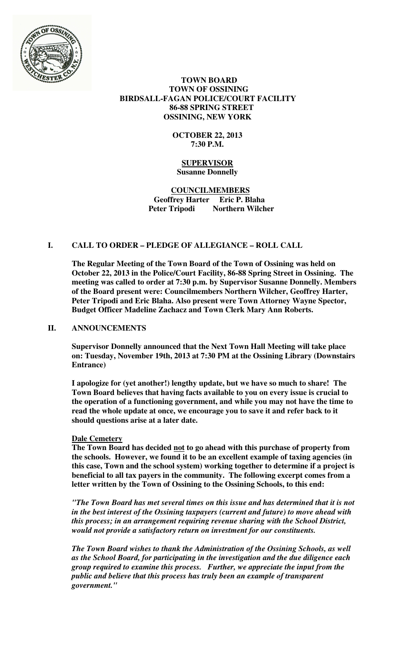

## **TOWN BOARD TOWN OF OSSINING BIRDSALL-FAGAN POLICE/COURT FACILITY 86-88 SPRING STREET OSSINING, NEW YORK**

## **OCTOBER 22, 2013 7:30 P.M.**

### **SUPERVISOR Susanne Donnelly**

## **COUNCILMEMBERS Geoffrey Harter Eric P. Blaha Northern Wilcher**

# **I. CALL TO ORDER – PLEDGE OF ALLEGIANCE – ROLL CALL**

**The Regular Meeting of the Town Board of the Town of Ossining was held on October 22, 2013 in the Police/Court Facility, 86-88 Spring Street in Ossining. The meeting was called to order at 7:30 p.m. by Supervisor Susanne Donnelly. Members of the Board present were: Councilmembers Northern Wilcher, Geoffrey Harter, Peter Tripodi and Eric Blaha. Also present were Town Attorney Wayne Spector, Budget Officer Madeline Zachacz and Town Clerk Mary Ann Roberts.** 

## **II. ANNOUNCEMENTS**

**Supervisor Donnelly announced that the Next Town Hall Meeting will take place on: Tuesday, November 19th, 2013 at 7:30 PM at the Ossining Library (Downstairs Entrance)** 

**I apologize for (yet another!) lengthy update, but we have so much to share! The Town Board believes that having facts available to you on every issue is crucial to the operation of a functioning government, and while you may not have the time to read the whole update at once, we encourage you to save it and refer back to it should questions arise at a later date.** 

## **Dale Cemetery**

**The Town Board has decided not to go ahead with this purchase of property from the schools. However, we found it to be an excellent example of taxing agencies (in this case, Town and the school system) working together to determine if a project is beneficial to all tax payers in the community. The following excerpt comes from a letter written by the Town of Ossining to the Ossining Schools, to this end:** 

*"The Town Board has met several times on this issue and has determined that it is not in the best interest of the Ossining taxpayers (current and future) to move ahead with this process; in an arrangement requiring revenue sharing with the School District, would not provide a satisfactory return on investment for our constituents.* 

*The Town Board wishes to thank the Administration of the Ossining Schools, as well as the School Board, for participating in the investigation and the due diligence each group required to examine this process. Further, we appreciate the input from the public and believe that this process has truly been an example of transparent government."*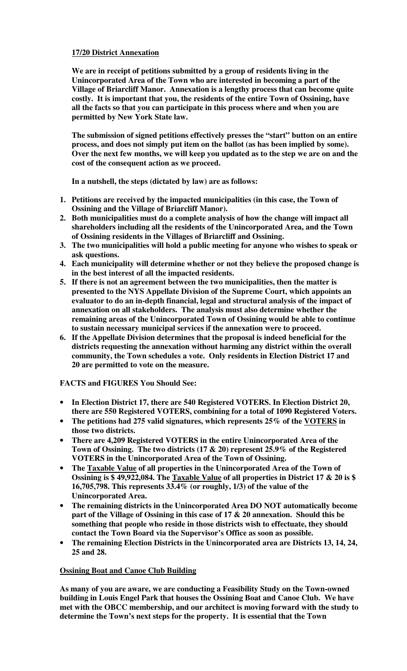# **17/20 District Annexation**

**We are in receipt of petitions submitted by a group of residents living in the Unincorporated Area of the Town who are interested in becoming a part of the Village of Briarcliff Manor. Annexation is a lengthy process that can become quite costly. It is important that you, the residents of the entire Town of Ossining, have all the facts so that you can participate in this process where and when you are permitted by New York State law.** 

**The submission of signed petitions effectively presses the "start" button on an entire process, and does not simply put item on the ballot (as has been implied by some). Over the next few months, we will keep you updated as to the step we are on and the cost of the consequent action as we proceed.** 

**In a nutshell, the steps (dictated by law) are as follows:** 

- **1. Petitions are received by the impacted municipalities (in this case, the Town of Ossining and the Village of Briarcliff Manor).**
- **2. Both municipalities must do a complete analysis of how the change will impact all shareholders including all the residents of the Unincorporated Area, and the Town of Ossining residents in the Villages of Briarcliff and Ossining.**
- **3. The two municipalities will hold a public meeting for anyone who wishes to speak or ask questions.**
- **4. Each municipality will determine whether or not they believe the proposed change is in the best interest of all the impacted residents.**
- **5. If there is not an agreement between the two municipalities, then the matter is presented to the NYS Appellate Division of the Supreme Court, which appoints an evaluator to do an in-depth financial, legal and structural analysis of the impact of annexation on all stakeholders. The analysis must also determine whether the remaining areas of the Unincorporated Town of Ossining would be able to continue to sustain necessary municipal services if the annexation were to proceed.**
- **6. If the Appellate Division determines that the proposal is indeed beneficial for the districts requesting the annexation without harming any district within the overall community, the Town schedules a vote. Only residents in Election District 17 and 20 are permitted to vote on the measure.**

**FACTS and FIGURES You Should See:** 

- **In Election District 17, there are 540 Registered VOTERS. In Election District 20, there are 550 Registered VOTERS, combining for a total of 1090 Registered Voters.**
- **The petitions had 275 valid signatures, which represents 25% of the VOTERS in those two districts.**
- **There are 4,209 Registered VOTERS in the entire Unincorporated Area of the Town of Ossining. The two districts (17 & 20) represent 25.9% of the Registered VOTERS in the Unincorporated Area of the Town of Ossining.**
- **The Taxable Value of all properties in the Unincorporated Area of the Town of Ossining is \$ 49,922,084. The Taxable Value of all properties in District 17 & 20 is \$ 16,705,798. This represents 33.4% (or roughly, 1/3) of the value of the Unincorporated Area.**
- **The remaining districts in the Unincorporated Area DO NOT automatically become part of the Village of Ossining in this case of 17 & 20 annexation. Should this be something that people who reside in those districts wish to effectuate, they should contact the Town Board via the Supervisor's Office as soon as possible.**
- **The remaining Election Districts in the Unincorporated area are Districts 13, 14, 24, 25 and 28.**

## **Ossining Boat and Canoe Club Building**

**As many of you are aware, we are conducting a Feasibility Study on the Town-owned building in Louis Engel Park that houses the Ossining Boat and Canoe Club. We have met with the OBCC membership, and our architect is moving forward with the study to determine the Town's next steps for the property. It is essential that the Town**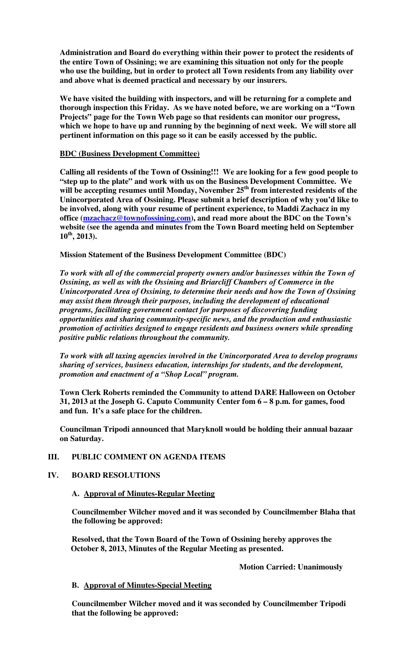**Administration and Board do everything within their power to protect the residents of the entire Town of Ossining; we are examining this situation not only for the people who use the building, but in order to protect all Town residents from any liability over and above what is deemed practical and necessary by our insurers.** 

**We have visited the building with inspectors, and will be returning for a complete and thorough inspection this Friday. As we have noted before, we are working on a "Town Projects" page for the Town Web page so that residents can monitor our progress, which we hope to have up and running by the beginning of next week. We will store all pertinent information on this page so it can be easily accessed by the public.** 

#### **BDC (Business Development Committee)**

**Calling all residents of the Town of Ossining!!! We are looking for a few good people to "step up to the plate" and work with us on the Business Development Committee. We will be accepting resumes until Monday, November 25th from interested residents of the Unincorporated Area of Ossining. Please submit a brief description of why you'd like to be involved, along with your resume of pertinent experience, to Maddi Zachacz in my office (mzachacz@townofossining.com), and read more about the BDC on the Town's website (see the agenda and minutes from the Town Board meeting held on September 10th, 2013).** 

## **Mission Statement of the Business Development Committee (BDC)**

*To work with all of the commercial property owners and/or businesses within the Town of Ossining, as well as with the Ossining and Briarcliff Chambers of Commerce in the Unincorporated Area of Ossining, to determine their needs and how the Town of Ossining may assist them through their purposes, including the development of educational programs, facilitating government contact for purposes of discovering funding opportunities and sharing community-specific news, and the production and enthusiastic promotion of activities designed to engage residents and business owners while spreading positive public relations throughout the community.* 

*To work with all taxing agencies involved in the Unincorporated Area to develop programs sharing of services, business education, internships for students, and the development, promotion and enactment of a "Shop Local" program.* 

**Town Clerk Roberts reminded the Community to attend DARE Halloween on October 31, 2013 at the Joseph G. Caputo Community Center fom 6 – 8 p.m. for games, food and fun. It's a safe place for the children.** 

**Councilman Tripodi announced that Maryknoll would be holding their annual bazaar on Saturday.** 

## **III. PUBLIC COMMENT ON AGENDA ITEMS**

## **IV. BOARD RESOLUTIONS**

#### **A. Approval of Minutes-Regular Meeting**

**Councilmember Wilcher moved and it was seconded by Councilmember Blaha that the following be approved:** 

**Resolved, that the Town Board of the Town of Ossining hereby approves the October 8, 2013, Minutes of the Regular Meeting as presented.** 

 **Motion Carried: Unanimously** 

#### **B. Approval of Minutes-Special Meeting**

**Councilmember Wilcher moved and it was seconded by Councilmember Tripodi that the following be approved:**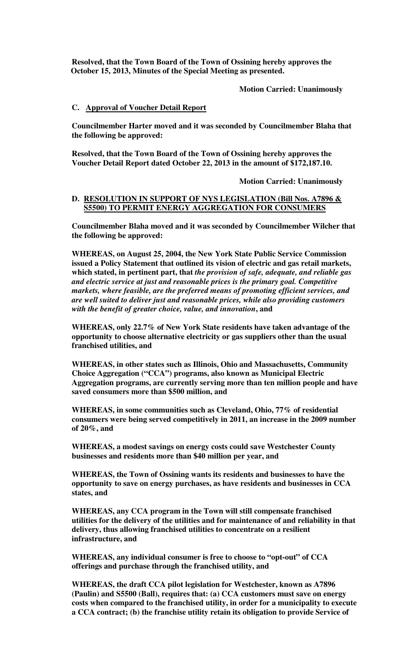**Resolved, that the Town Board of the Town of Ossining hereby approves the October 15, 2013, Minutes of the Special Meeting as presented.** 

 **Motion Carried: Unanimously** 

#### **C. Approval of Voucher Detail Report**

**Councilmember Harter moved and it was seconded by Councilmember Blaha that the following be approved:** 

**Resolved, that the Town Board of the Town of Ossining hereby approves the Voucher Detail Report dated October 22, 2013 in the amount of \$172,187.10.** 

 **Motion Carried: Unanimously** 

#### **D. RESOLUTION IN SUPPORT OF NYS LEGISLATION (Bill Nos. A7896 & S5500) TO PERMIT ENERGY AGGREGATION FOR CONSUMERS**

**Councilmember Blaha moved and it was seconded by Councilmember Wilcher that the following be approved:** 

**WHEREAS, on August 25, 2004, the New York State Public Service Commission issued a Policy Statement that outlined its vision of electric and gas retail markets, which stated, in pertinent part, that** *the provision of safe, adequate, and reliable gas and electric service at just and reasonable prices is the primary goal. Competitive markets, where feasible, are the preferred means of promoting efficient services, and are well suited to deliver just and reasonable prices, while also providing customers with the benefit of greater choice, value, and innovation***, and** 

**WHEREAS, only 22.7% of New York State residents have taken advantage of the opportunity to choose alternative electricity or gas suppliers other than the usual franchised utilities, and** 

**WHEREAS, in other states such as Illinois, Ohio and Massachusetts, Community Choice Aggregation ("CCA") programs, also known as Municipal Electric Aggregation programs, are currently serving more than ten million people and have saved consumers more than \$500 million, and** 

**WHEREAS, in some communities such as Cleveland, Ohio, 77% of residential consumers were being served competitively in 2011, an increase in the 2009 number of 20%, and** 

**WHEREAS, a modest savings on energy costs could save Westchester County businesses and residents more than \$40 million per year, and** 

**WHEREAS, the Town of Ossining wants its residents and businesses to have the opportunity to save on energy purchases, as have residents and businesses in CCA states, and** 

**WHEREAS, any CCA program in the Town will still compensate franchised utilities for the delivery of the utilities and for maintenance of and reliability in that delivery, thus allowing franchised utilities to concentrate on a resilient infrastructure, and** 

**WHEREAS, any individual consumer is free to choose to "opt-out" of CCA offerings and purchase through the franchised utility, and** 

**WHEREAS, the draft CCA pilot legislation for Westchester, known as A7896 (Paulin) and S5500 (Ball), requires that: (a) CCA customers must save on energy costs when compared to the franchised utility, in order for a municipality to execute a CCA contract; (b) the franchise utility retain its obligation to provide Service of**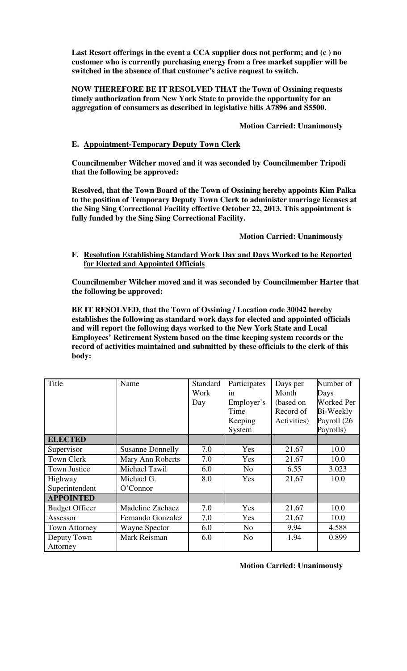**Last Resort offerings in the event a CCA supplier does not perform; and (c ) no customer who is currently purchasing energy from a free market supplier will be switched in the absence of that customer's active request to switch.** 

**NOW THEREFORE BE IT RESOLVED THAT the Town of Ossining requests timely authorization from New York State to provide the opportunity for an aggregation of consumers as described in legislative bills A7896 and S5500.** 

 **Motion Carried: Unanimously** 

# **E. Appointment-Temporary Deputy Town Clerk**

**Councilmember Wilcher moved and it was seconded by Councilmember Tripodi that the following be approved:** 

**Resolved, that the Town Board of the Town of Ossining hereby appoints Kim Palka to the position of Temporary Deputy Town Clerk to administer marriage licenses at the Sing Sing Correctional Facility effective October 22, 2013. This appointment is fully funded by the Sing Sing Correctional Facility.** 

 **Motion Carried: Unanimously** 

**F. Resolution Establishing Standard Work Day and Days Worked to be Reported for Elected and Appointed Officials**

**Councilmember Wilcher moved and it was seconded by Councilmember Harter that the following be approved:** 

**BE IT RESOLVED, that the Town of Ossining / Location code 30042 hereby establishes the following as standard work days for elected and appointed officials and will report the following days worked to the New York State and Local Employees' Retirement System based on the time keeping system records or the record of activities maintained and submitted by these officials to the clerk of this body:** 

| Title                 | Name                    | <b>Standard</b><br>Work<br>Day | Participates<br>in<br>Employer's<br>Time<br>Keeping | Days per<br>Month<br>(based on<br>Record of<br>Activities) | Number of<br>Days<br><b>Worked Per</b><br>Bi-Weekly<br>Payroll (26 |
|-----------------------|-------------------------|--------------------------------|-----------------------------------------------------|------------------------------------------------------------|--------------------------------------------------------------------|
|                       |                         |                                | System                                              |                                                            | Payrolls)                                                          |
| <b>ELECTED</b>        |                         |                                |                                                     |                                                            |                                                                    |
| Supervisor            | <b>Susanne Donnelly</b> | 7.0                            | Yes                                                 | 21.67                                                      | 10.0                                                               |
| <b>Town Clerk</b>     | Mary Ann Roberts        | 7.0                            | Yes                                                 | 21.67                                                      | 10.0                                                               |
| Town Justice          | Michael Tawil           | 6.0                            | N <sub>0</sub>                                      | 6.55                                                       | 3.023                                                              |
| Highway               | Michael G.              | 8.0                            | Yes                                                 | 21.67                                                      | 10.0                                                               |
| Superintendent        | O'Connor                |                                |                                                     |                                                            |                                                                    |
| <b>APPOINTED</b>      |                         |                                |                                                     |                                                            |                                                                    |
| <b>Budget Officer</b> | Madeline Zachacz        | 7.0                            | Yes                                                 | 21.67                                                      | 10.0                                                               |
| Assessor              | Fernando Gonzalez       | 7.0                            | Yes                                                 | 21.67                                                      | 10.0                                                               |
| Town Attorney         | <b>Wayne Spector</b>    | 6.0                            | N <sub>0</sub>                                      | 9.94                                                       | 4.588                                                              |
| Deputy Town           | Mark Reisman            | 6.0                            | N <sub>0</sub>                                      | 1.94                                                       | 0.899                                                              |
| Attorney              |                         |                                |                                                     |                                                            |                                                                    |

 **Motion Carried: Unanimously**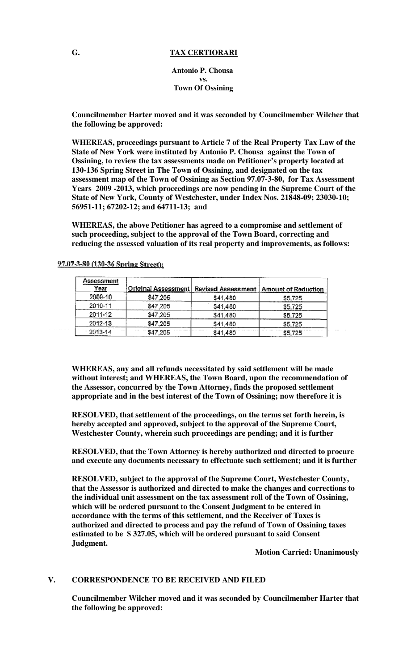#### **G. TAX CERTIORARI**

**Antonio P. Chousa vs. Town Of Ossining**

**Councilmember Harter moved and it was seconded by Councilmember Wilcher that the following be approved:** 

**WHEREAS, proceedings pursuant to Article 7 of the Real Property Tax Law of the State of New York were instituted by Antonio P. Chousa against the Town of Ossining, to review the tax assessments made on Petitioner's property located at 130-136 Spring Street in The Town of Ossining, and designated on the tax assessment map of the Town of Ossining as Section 97.07-3-80, for Tax Assessment Years 2009 -2013, which proceedings are now pending in the Supreme Court of the State of New York, County of Westchester, under Index Nos. 21848-09; 23030-10; 56951-11; 67202-12; and 64711-13; and** 

**WHEREAS, the above Petitioner has agreed to a compromise and settlement of such proceeding, subject to the approval of the Town Board, correcting and reducing the assessed valuation of its real property and improvements, as follows:** 

| <b>Assessment</b><br>Year | <u>Original Assessment</u> | <b>Revised Assessment</b> | <b>Amount of Reduction</b> |
|---------------------------|----------------------------|---------------------------|----------------------------|
| 2009-10                   | \$47,205                   | \$41,480                  | \$5,725                    |
| 2010-11                   | \$47,205                   | \$41,480                  | \$5,725                    |
| 2011-12                   | \$47,205                   | \$41,480                  | \$5,725                    |
| $2012 - 13$               | \$47.205                   | \$41,480                  | \$5,725                    |
| 2013-14                   | \$47,205                   | \$41,480                  | \$5,725                    |

97.07-3-80 (130-36 Spring Street):

 $\omega$  . The mass of  $\omega$ 

**WHEREAS, any and all refunds necessitated by said settlement will be made without interest; and WHEREAS, the Town Board, upon the recommendation of the Assessor, concurred by the Town Attorney, finds the proposed settlement appropriate and in the best interest of the Town of Ossining; now therefore it is** 

**RESOLVED, that settlement of the proceedings, on the terms set forth herein, is hereby accepted and approved, subject to the approval of the Supreme Court, Westchester County, wherein such proceedings are pending; and it is further** 

**RESOLVED, that the Town Attorney is hereby authorized and directed to procure and execute any documents necessary to effectuate such settlement; and it is further** 

**RESOLVED, subject to the approval of the Supreme Court, Westchester County, that the Assessor is authorized and directed to make the changes and corrections to the individual unit assessment on the tax assessment roll of the Town of Ossining, which will be ordered pursuant to the Consent Judgment to be entered in accordance with the terms of this settlement, and the Receiver of Taxes is authorized and directed to process and pay the refund of Town of Ossining taxes estimated to be \$ 327.05, which will be ordered pursuant to said Consent Judgment.** 

 **Motion Carried: Unanimously** 

## **V. CORRESPONDENCE TO BE RECEIVED AND FILED**

**Councilmember Wilcher moved and it was seconded by Councilmember Harter that the following be approved:**